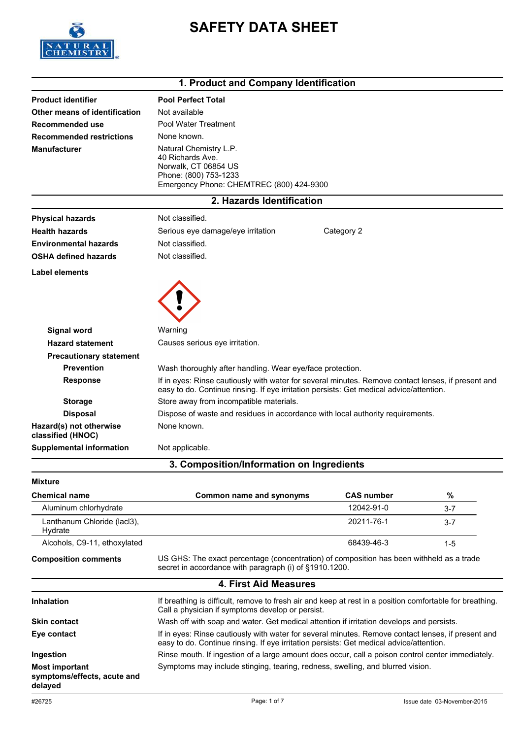

# **SAFETY DATA SHEET**

#### **1. Product and Company Identification**

| <b>Product identifier</b>                    | <b>Pool Perfect Total</b>                                                                                                                                                                     |                   |         |  |
|----------------------------------------------|-----------------------------------------------------------------------------------------------------------------------------------------------------------------------------------------------|-------------------|---------|--|
| Other means of identification                | Not available                                                                                                                                                                                 |                   |         |  |
| Recommended use                              | Pool Water Treatment                                                                                                                                                                          |                   |         |  |
| <b>Recommended restrictions</b>              | None known.<br>Natural Chemistry L.P.<br>40 Richards Ave.<br>Norwalk, CT 06854 US<br>Phone: (800) 753-1233<br>Emergency Phone: CHEMTREC (800) 424-9300                                        |                   |         |  |
| <b>Manufacturer</b>                          |                                                                                                                                                                                               |                   |         |  |
|                                              | 2. Hazards Identification                                                                                                                                                                     |                   |         |  |
| <b>Physical hazards</b>                      | Not classified.                                                                                                                                                                               |                   |         |  |
| <b>Health hazards</b>                        | Category 2<br>Serious eye damage/eye irritation                                                                                                                                               |                   |         |  |
| <b>Environmental hazards</b>                 | Not classified.                                                                                                                                                                               |                   |         |  |
| <b>OSHA defined hazards</b>                  | Not classified.                                                                                                                                                                               |                   |         |  |
| Label elements                               |                                                                                                                                                                                               |                   |         |  |
| Signal word                                  | Warning                                                                                                                                                                                       |                   |         |  |
| <b>Hazard statement</b>                      | Causes serious eye irritation.                                                                                                                                                                |                   |         |  |
| <b>Precautionary statement</b>               |                                                                                                                                                                                               |                   |         |  |
| <b>Prevention</b>                            | Wash thoroughly after handling. Wear eye/face protection.                                                                                                                                     |                   |         |  |
| <b>Response</b>                              | If in eyes: Rinse cautiously with water for several minutes. Remove contact lenses, if present and<br>easy to do. Continue rinsing. If eye irritation persists: Get medical advice/attention. |                   |         |  |
| <b>Storage</b>                               | Store away from incompatible materials.                                                                                                                                                       |                   |         |  |
| <b>Disposal</b>                              | Dispose of waste and residues in accordance with local authority requirements.                                                                                                                |                   |         |  |
| Hazard(s) not otherwise<br>classified (HNOC) | None known.                                                                                                                                                                                   |                   |         |  |
| <b>Supplemental information</b>              | Not applicable.                                                                                                                                                                               |                   |         |  |
|                                              | 3. Composition/Information on Ingredients                                                                                                                                                     |                   |         |  |
| <b>Mixture</b>                               |                                                                                                                                                                                               |                   |         |  |
| <b>Chemical name</b>                         | <b>Common name and synonyms</b>                                                                                                                                                               | <b>CAS number</b> | %       |  |
| Aluminum chlorhydrate                        |                                                                                                                                                                                               | 12042-91-0        | $3 - 7$ |  |
| Lanthanum Chloride (lacl3),<br>Hydrate       |                                                                                                                                                                                               | 20211-76-1        | $3 - 7$ |  |
| Alcohols, C9-11, ethoxylated                 |                                                                                                                                                                                               | 68439-46-3        | $1 - 5$ |  |
| <b>Composition comments</b>                  | US GHS: The exact percentage (concentration) of composition has been withheld as a trade<br>secret in accordance with paragraph (i) of §1910.1200.                                            |                   |         |  |

#### **4. First Aid Measures**

| <b>Inhalation</b>                                               | If breathing is difficult, remove to fresh air and keep at rest in a position comfortable for breathing.<br>Call a physician if symptoms develop or persist.                                  |
|-----------------------------------------------------------------|-----------------------------------------------------------------------------------------------------------------------------------------------------------------------------------------------|
| <b>Skin contact</b>                                             | Wash off with soap and water. Get medical attention if irritation develops and persists.                                                                                                      |
| Eye contact                                                     | If in eyes: Rinse cautiously with water for several minutes. Remove contact lenses, if present and<br>easy to do. Continue rinsing. If eye irritation persists: Get medical advice/attention. |
| Ingestion                                                       | Rinse mouth. If ingestion of a large amount does occur, call a poison control center immediately.                                                                                             |
| <b>Most important</b><br>symptoms/effects, acute and<br>delayed | Symptoms may include stinging, tearing, redness, swelling, and blurred vision.                                                                                                                |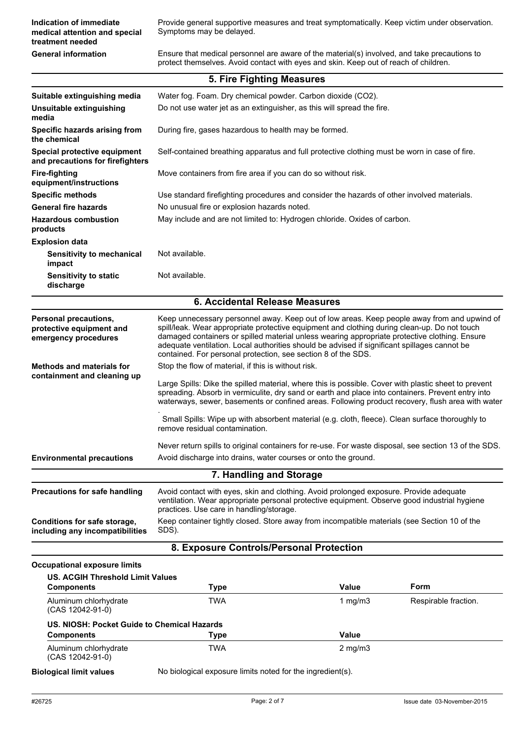| Indication of immediate<br>medical attention and special<br>treatment needed | Provide general supportive measures and treat symptomatically. Keep victim under observation.<br>Symptoms may be delayed.                                                            |
|------------------------------------------------------------------------------|--------------------------------------------------------------------------------------------------------------------------------------------------------------------------------------|
| <b>General information</b>                                                   | Ensure that medical personnel are aware of the material(s) involved, and take precautions to<br>protect themselves. Avoid contact with eyes and skin. Keep out of reach of children. |

|                                                                                  | 5. Fire Fighting Measures                                                                                                                                                                                                                                                                                                                                                                                                                                     |  |
|----------------------------------------------------------------------------------|---------------------------------------------------------------------------------------------------------------------------------------------------------------------------------------------------------------------------------------------------------------------------------------------------------------------------------------------------------------------------------------------------------------------------------------------------------------|--|
| Suitable extinguishing media                                                     | Water fog. Foam. Dry chemical powder. Carbon dioxide (CO2).                                                                                                                                                                                                                                                                                                                                                                                                   |  |
| <b>Unsuitable extinguishing</b><br>media                                         | Do not use water jet as an extinguisher, as this will spread the fire.                                                                                                                                                                                                                                                                                                                                                                                        |  |
| Specific hazards arising from<br>the chemical                                    | During fire, gases hazardous to health may be formed.                                                                                                                                                                                                                                                                                                                                                                                                         |  |
| Special protective equipment<br>and precautions for firefighters                 | Self-contained breathing apparatus and full protective clothing must be worn in case of fire.                                                                                                                                                                                                                                                                                                                                                                 |  |
| <b>Fire-fighting</b><br>equipment/instructions                                   | Move containers from fire area if you can do so without risk.                                                                                                                                                                                                                                                                                                                                                                                                 |  |
| <b>Specific methods</b>                                                          | Use standard firefighting procedures and consider the hazards of other involved materials.                                                                                                                                                                                                                                                                                                                                                                    |  |
| <b>General fire hazards</b>                                                      | No unusual fire or explosion hazards noted.                                                                                                                                                                                                                                                                                                                                                                                                                   |  |
| <b>Hazardous combustion</b><br>products                                          | May include and are not limited to: Hydrogen chloride. Oxides of carbon.                                                                                                                                                                                                                                                                                                                                                                                      |  |
| <b>Explosion data</b>                                                            |                                                                                                                                                                                                                                                                                                                                                                                                                                                               |  |
| Sensitivity to mechanical<br>impact                                              | Not available.                                                                                                                                                                                                                                                                                                                                                                                                                                                |  |
| <b>Sensitivity to static</b><br>discharge                                        | Not available.                                                                                                                                                                                                                                                                                                                                                                                                                                                |  |
|                                                                                  | 6. Accidental Release Measures                                                                                                                                                                                                                                                                                                                                                                                                                                |  |
| <b>Personal precautions,</b><br>protective equipment and<br>emergency procedures | Keep unnecessary personnel away. Keep out of low areas. Keep people away from and upwind of<br>spill/leak. Wear appropriate protective equipment and clothing during clean-up. Do not touch<br>damaged containers or spilled material unless wearing appropriate protective clothing. Ensure<br>adequate ventilation. Local authorities should be advised if significant spillages cannot be<br>contained. For personal protection, see section 8 of the SDS. |  |
| <b>Methods and materials for</b>                                                 | Stop the flow of material, if this is without risk.                                                                                                                                                                                                                                                                                                                                                                                                           |  |
| containment and cleaning up                                                      | Large Spills: Dike the spilled material, where this is possible. Cover with plastic sheet to prevent<br>spreading. Absorb in vermiculite, dry sand or earth and place into containers. Prevent entry into<br>waterways, sewer, basements or confined areas. Following product recovery, flush area with water                                                                                                                                                 |  |
|                                                                                  | Small Spills: Wipe up with absorbent material (e.g. cloth, fleece). Clean surface thoroughly to<br>remove residual contamination.                                                                                                                                                                                                                                                                                                                             |  |
|                                                                                  | Never return spills to original containers for re-use. For waste disposal, see section 13 of the SDS.                                                                                                                                                                                                                                                                                                                                                         |  |
| <b>Environmental precautions</b>                                                 | Avoid discharge into drains, water courses or onto the ground.                                                                                                                                                                                                                                                                                                                                                                                                |  |
|                                                                                  | 7. Handling and Storage                                                                                                                                                                                                                                                                                                                                                                                                                                       |  |
| <b>Precautions for safe handling</b>                                             | Avoid contact with eyes, skin and clothing. Avoid prolonged exposure. Provide adequate<br>ventilation. Wear appropriate personal protective equipment. Observe good industrial hygiene<br>practices. Use care in handling/storage.                                                                                                                                                                                                                            |  |
| Conditions for safe storage,<br>including any incompatibilities                  | Keep container tightly closed. Store away from incompatible materials (see Section 10 of the<br>SDS).                                                                                                                                                                                                                                                                                                                                                         |  |

#### **8. Exposure Controls/Personal Protection**

#### **Occupational exposure limits**

| <b>Components</b>                           | Type | Value            | <b>Form</b>          |
|---------------------------------------------|------|------------------|----------------------|
| Aluminum chlorhydrate<br>(CAS 12042-91-0)   | TWA  | 1 mg/m $3$       | Respirable fraction. |
| US. NIOSH: Pocket Guide to Chemical Hazards |      |                  |                      |
|                                             |      |                  |                      |
| <b>Components</b>                           | Type | Value            |                      |
| Aluminum chlorhydrate<br>(CAS 12042-91-0)   | TWA  | $2 \text{ mg/m}$ |                      |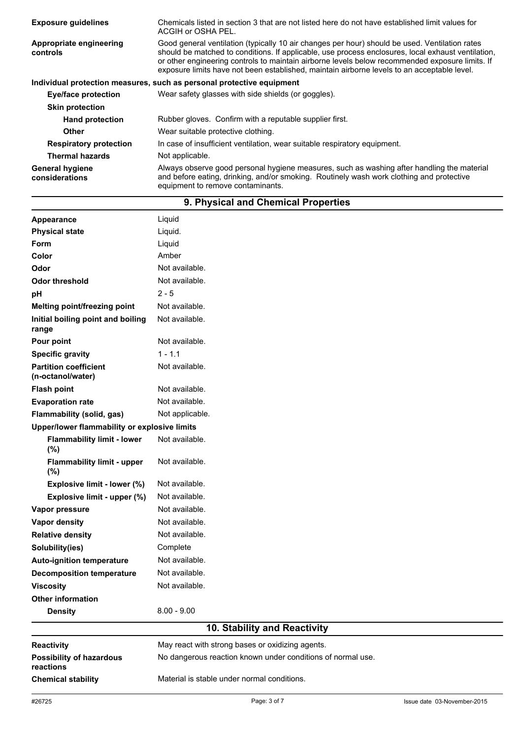| <b>Exposure quidelines</b>               | Chemicals listed in section 3 that are not listed here do not have established limit values for<br>ACGIH or OSHA PEL.                                                                                                                                                                                                                                                                                  |  |  |
|------------------------------------------|--------------------------------------------------------------------------------------------------------------------------------------------------------------------------------------------------------------------------------------------------------------------------------------------------------------------------------------------------------------------------------------------------------|--|--|
| Appropriate engineering<br>controls      | Good general ventilation (typically 10 air changes per hour) should be used. Ventilation rates<br>should be matched to conditions. If applicable, use process enclosures, local exhaust ventilation,<br>or other engineering controls to maintain airborne levels below recommended exposure limits. If<br>exposure limits have not been established, maintain airborne levels to an acceptable level. |  |  |
|                                          | Individual protection measures, such as personal protective equipment                                                                                                                                                                                                                                                                                                                                  |  |  |
| Eye/face protection                      | Wear safety glasses with side shields (or goggles).                                                                                                                                                                                                                                                                                                                                                    |  |  |
| <b>Skin protection</b>                   |                                                                                                                                                                                                                                                                                                                                                                                                        |  |  |
| <b>Hand protection</b>                   | Rubber gloves. Confirm with a reputable supplier first.                                                                                                                                                                                                                                                                                                                                                |  |  |
| <b>Other</b>                             | Wear suitable protective clothing.                                                                                                                                                                                                                                                                                                                                                                     |  |  |
| <b>Respiratory protection</b>            | In case of insufficient ventilation, wear suitable respiratory equipment.                                                                                                                                                                                                                                                                                                                              |  |  |
| <b>Thermal hazards</b>                   | Not applicable.                                                                                                                                                                                                                                                                                                                                                                                        |  |  |
| <b>General hygiene</b><br>considerations | Always observe good personal hygiene measures, such as washing after handling the material<br>and before eating, drinking, and/or smoking. Routinely wash work clothing and protective<br>equipment to remove contaminants.                                                                                                                                                                            |  |  |

## **9. Physical and Chemical Properties**

| <b>Chemical stability</b>                         | Material is stable under normal conditions.                 |  |  |  |  |
|---------------------------------------------------|-------------------------------------------------------------|--|--|--|--|
| <b>Possibility of hazardous</b><br>reactions      | No dangerous reaction known under conditions of normal use. |  |  |  |  |
| Reactivity                                        | May react with strong bases or oxidizing agents.            |  |  |  |  |
|                                                   | 10. Stability and Reactivity                                |  |  |  |  |
| <b>Density</b>                                    | $8.00 - 9.00$                                               |  |  |  |  |
| <b>Other information</b>                          |                                                             |  |  |  |  |
| <b>Viscosity</b>                                  | Not available.                                              |  |  |  |  |
| <b>Decomposition temperature</b>                  | Not available.                                              |  |  |  |  |
| <b>Auto-ignition temperature</b>                  | Not available.                                              |  |  |  |  |
| Solubility(ies)                                   | Complete                                                    |  |  |  |  |
| <b>Relative density</b>                           | Not available.                                              |  |  |  |  |
| <b>Vapor density</b>                              | Not available.                                              |  |  |  |  |
| Vapor pressure                                    | Not available.                                              |  |  |  |  |
| Explosive limit - upper (%)                       | Not available.                                              |  |  |  |  |
| Explosive limit - lower (%)                       | Not available.                                              |  |  |  |  |
| <b>Flammability limit - upper</b><br>(%)          | Not available.                                              |  |  |  |  |
| <b>Flammability limit - lower</b><br>(%)          | Not available.                                              |  |  |  |  |
| Upper/lower flammability or explosive limits      |                                                             |  |  |  |  |
| Flammability (solid, gas)                         | Not applicable.                                             |  |  |  |  |
| <b>Evaporation rate</b>                           | Not available.                                              |  |  |  |  |
| <b>Flash point</b>                                | Not available.                                              |  |  |  |  |
| <b>Partition coefficient</b><br>(n-octanol/water) | Not available.                                              |  |  |  |  |
| <b>Specific gravity</b>                           | $1 - 1.1$                                                   |  |  |  |  |
| Pour point                                        | Not available.                                              |  |  |  |  |
| Initial boiling point and boiling<br>range        | Not available.                                              |  |  |  |  |
| Melting point/freezing point                      | Not available.                                              |  |  |  |  |
| pH                                                | $2 - 5$                                                     |  |  |  |  |
| <b>Odor threshold</b>                             | Not available.                                              |  |  |  |  |
| Odor                                              | Not available.                                              |  |  |  |  |
| Color                                             | Amber                                                       |  |  |  |  |
| Form                                              | Liquid                                                      |  |  |  |  |
| <b>Physical state</b>                             | Liquid.                                                     |  |  |  |  |
| Appearance                                        | Liquid                                                      |  |  |  |  |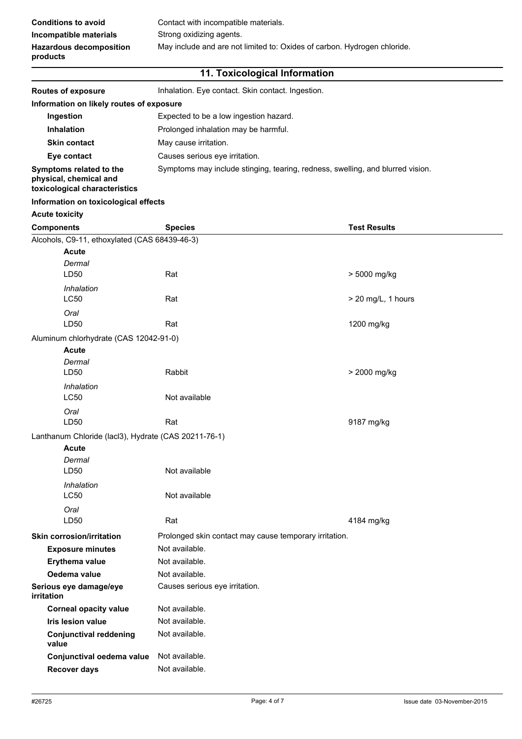| <b>Conditions to avoid</b>                 | Contact with incompatible materials.                                     |
|--------------------------------------------|--------------------------------------------------------------------------|
| Incompatible materials                     | Strong oxidizing agents.                                                 |
| <b>Hazardous decomposition</b><br>products | May include and are not limited to: Oxides of carbon. Hydrogen chloride. |

#### **11. Toxicological Information**

| <b>Routes of exposure</b>                                                          | Inhalation. Eye contact. Skin contact. Ingestion.                              |                     |  |  |
|------------------------------------------------------------------------------------|--------------------------------------------------------------------------------|---------------------|--|--|
| Information on likely routes of exposure                                           |                                                                                |                     |  |  |
| Ingestion                                                                          | Expected to be a low ingestion hazard.                                         |                     |  |  |
| Inhalation                                                                         | Prolonged inhalation may be harmful.                                           |                     |  |  |
| <b>Skin contact</b>                                                                | May cause irritation.                                                          |                     |  |  |
| Eye contact                                                                        | Causes serious eye irritation.                                                 |                     |  |  |
| Symptoms related to the<br>physical, chemical and<br>toxicological characteristics | Symptoms may include stinging, tearing, redness, swelling, and blurred vision. |                     |  |  |
| Information on toxicological effects                                               |                                                                                |                     |  |  |
| <b>Acute toxicity</b>                                                              |                                                                                |                     |  |  |
| <b>Components</b>                                                                  | <b>Species</b>                                                                 | <b>Test Results</b> |  |  |
| Alcohols, C9-11, ethoxylated (CAS 68439-46-3)                                      |                                                                                |                     |  |  |
| <b>Acute</b>                                                                       |                                                                                |                     |  |  |
| Dermal                                                                             |                                                                                |                     |  |  |
| LD50                                                                               | Rat                                                                            | > 5000 mg/kg        |  |  |
| Inhalation<br>LC50                                                                 | Rat                                                                            | > 20 mg/L, 1 hours  |  |  |
|                                                                                    |                                                                                |                     |  |  |
| Oral<br>LD50                                                                       | 1200 mg/kg<br>Rat                                                              |                     |  |  |
| Aluminum chlorhydrate (CAS 12042-91-0)                                             |                                                                                |                     |  |  |
| <b>Acute</b>                                                                       |                                                                                |                     |  |  |
| Dermal                                                                             |                                                                                |                     |  |  |
| LD50                                                                               | Rabbit                                                                         | > 2000 mg/kg        |  |  |
| Inhalation                                                                         |                                                                                |                     |  |  |
| LC50                                                                               | Not available                                                                  |                     |  |  |
| Oral<br>LD50                                                                       | Rat                                                                            | 9187 mg/kg          |  |  |
|                                                                                    |                                                                                |                     |  |  |
| Lanthanum Chloride (lacl3), Hydrate (CAS 20211-76-1)<br><b>Acute</b>               |                                                                                |                     |  |  |
| Dermal                                                                             |                                                                                |                     |  |  |
| LD50                                                                               | Not available                                                                  |                     |  |  |
| Inhalation                                                                         |                                                                                |                     |  |  |
| LC50                                                                               | Not available                                                                  |                     |  |  |
| Oral                                                                               |                                                                                |                     |  |  |
| LD50                                                                               | Rat                                                                            | 4184 mg/kg          |  |  |
| <b>Skin corrosion/irritation</b>                                                   | Prolonged skin contact may cause temporary irritation.                         |                     |  |  |
| <b>Exposure minutes</b>                                                            | Not available.                                                                 |                     |  |  |
| Erythema value                                                                     | Not available.                                                                 |                     |  |  |
| Oedema value                                                                       | Not available.                                                                 |                     |  |  |
| Serious eye damage/eye<br><i>irritation</i>                                        | Causes serious eye irritation.                                                 |                     |  |  |
| <b>Corneal opacity value</b>                                                       | Not available.                                                                 |                     |  |  |
| Iris lesion value                                                                  | Not available.                                                                 |                     |  |  |
| <b>Conjunctival reddening</b><br>value                                             | Not available.                                                                 |                     |  |  |
| Conjunctival oedema value                                                          | Not available.                                                                 |                     |  |  |
| <b>Recover days</b>                                                                | Not available.                                                                 |                     |  |  |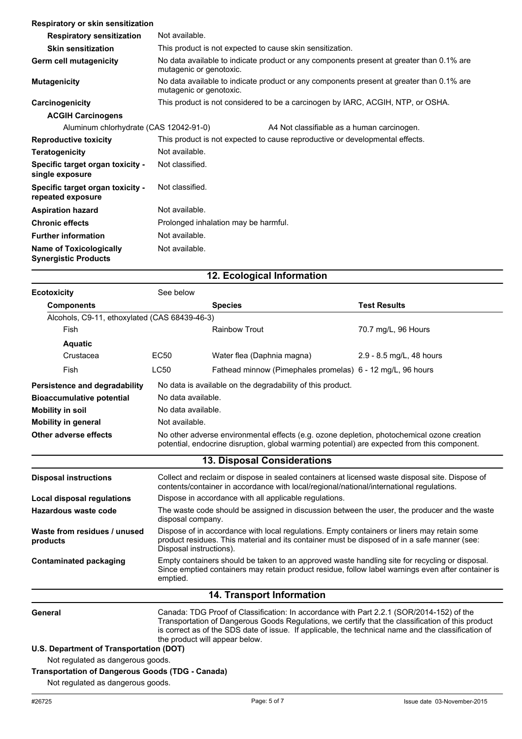| Respiratory or skin sensitization                             |                                                                                                                     |  |  |
|---------------------------------------------------------------|---------------------------------------------------------------------------------------------------------------------|--|--|
| <b>Respiratory sensitization</b>                              | Not available.                                                                                                      |  |  |
| <b>Skin sensitization</b>                                     | This product is not expected to cause skin sensitization.                                                           |  |  |
| Germ cell mutagenicity                                        | No data available to indicate product or any components present at greater than 0.1% are<br>mutagenic or genotoxic. |  |  |
| <b>Mutagenicity</b>                                           | No data available to indicate product or any components present at greater than 0.1% are<br>mutagenic or genotoxic. |  |  |
| Carcinogenicity                                               | This product is not considered to be a carcinogen by IARC, ACGIH, NTP, or OSHA.                                     |  |  |
| <b>ACGIH Carcinogens</b>                                      |                                                                                                                     |  |  |
| Aluminum chlorhydrate (CAS 12042-91-0)                        | A4 Not classifiable as a human carcinogen.                                                                          |  |  |
| <b>Reproductive toxicity</b>                                  | This product is not expected to cause reproductive or developmental effects.                                        |  |  |
| <b>Teratogenicity</b>                                         | Not available.                                                                                                      |  |  |
| Specific target organ toxicity -<br>single exposure           | Not classified.                                                                                                     |  |  |
| Specific target organ toxicity -<br>repeated exposure         | Not classified.                                                                                                     |  |  |
| <b>Aspiration hazard</b>                                      | Not available.                                                                                                      |  |  |
| <b>Chronic effects</b>                                        | Prolonged inhalation may be harmful.                                                                                |  |  |
| <b>Further information</b>                                    | Not available.                                                                                                      |  |  |
| <b>Name of Toxicologically</b><br><b>Synergistic Products</b> | Not available.                                                                                                      |  |  |

### **12. Ecological Information**

| <b>Ecotoxicity</b>                                      | See below                                                                                                                                                                                                              |                                                                                                                                                                                                                                                                                                                                        |                          |  |
|---------------------------------------------------------|------------------------------------------------------------------------------------------------------------------------------------------------------------------------------------------------------------------------|----------------------------------------------------------------------------------------------------------------------------------------------------------------------------------------------------------------------------------------------------------------------------------------------------------------------------------------|--------------------------|--|
| <b>Components</b>                                       |                                                                                                                                                                                                                        | <b>Species</b>                                                                                                                                                                                                                                                                                                                         | <b>Test Results</b>      |  |
| Alcohols, C9-11, ethoxylated (CAS 68439-46-3)           |                                                                                                                                                                                                                        |                                                                                                                                                                                                                                                                                                                                        |                          |  |
| Fish                                                    |                                                                                                                                                                                                                        | <b>Rainbow Trout</b>                                                                                                                                                                                                                                                                                                                   | 70.7 mg/L, 96 Hours      |  |
| <b>Aquatic</b>                                          |                                                                                                                                                                                                                        |                                                                                                                                                                                                                                                                                                                                        |                          |  |
| Crustacea                                               | EC50                                                                                                                                                                                                                   | Water flea (Daphnia magna)                                                                                                                                                                                                                                                                                                             | 2.9 - 8.5 mg/L, 48 hours |  |
| Fish                                                    | <b>LC50</b>                                                                                                                                                                                                            | Fathead minnow (Pimephales promelas) 6 - 12 mg/L, 96 hours                                                                                                                                                                                                                                                                             |                          |  |
| Persistence and degradability                           | No data is available on the degradability of this product.                                                                                                                                                             |                                                                                                                                                                                                                                                                                                                                        |                          |  |
| <b>Bioaccumulative potential</b>                        | No data available.                                                                                                                                                                                                     |                                                                                                                                                                                                                                                                                                                                        |                          |  |
| <b>Mobility in soil</b>                                 | No data available.                                                                                                                                                                                                     |                                                                                                                                                                                                                                                                                                                                        |                          |  |
| <b>Mobility in general</b>                              | Not available.                                                                                                                                                                                                         |                                                                                                                                                                                                                                                                                                                                        |                          |  |
| Other adverse effects                                   | No other adverse environmental effects (e.g. ozone depletion, photochemical ozone creation<br>potential, endocrine disruption, global warming potential) are expected from this component.                             |                                                                                                                                                                                                                                                                                                                                        |                          |  |
|                                                         |                                                                                                                                                                                                                        | 13. Disposal Considerations                                                                                                                                                                                                                                                                                                            |                          |  |
| <b>Disposal instructions</b>                            |                                                                                                                                                                                                                        | Collect and reclaim or dispose in sealed containers at licensed waste disposal site. Dispose of<br>contents/container in accordance with local/regional/national/international regulations.                                                                                                                                            |                          |  |
| Local disposal regulations                              |                                                                                                                                                                                                                        | Dispose in accordance with all applicable regulations.                                                                                                                                                                                                                                                                                 |                          |  |
| <b>Hazardous waste code</b>                             | The waste code should be assigned in discussion between the user, the producer and the waste<br>disposal company.                                                                                                      |                                                                                                                                                                                                                                                                                                                                        |                          |  |
| Waste from residues / unused<br>products                | Dispose of in accordance with local regulations. Empty containers or liners may retain some<br>product residues. This material and its container must be disposed of in a safe manner (see:<br>Disposal instructions). |                                                                                                                                                                                                                                                                                                                                        |                          |  |
| <b>Contaminated packaging</b>                           | emptied.                                                                                                                                                                                                               | Empty containers should be taken to an approved waste handling site for recycling or disposal.<br>Since emptied containers may retain product residue, follow label warnings even after container is                                                                                                                                   |                          |  |
|                                                         |                                                                                                                                                                                                                        | 14. Transport Information                                                                                                                                                                                                                                                                                                              |                          |  |
| General                                                 |                                                                                                                                                                                                                        | Canada: TDG Proof of Classification: In accordance with Part 2.2.1 (SOR/2014-152) of the<br>Transportation of Dangerous Goods Regulations, we certify that the classification of this product<br>is correct as of the SDS date of issue. If applicable, the technical name and the classification of<br>the product will appear below. |                          |  |
| U.S. Department of Transportation (DOT)                 |                                                                                                                                                                                                                        |                                                                                                                                                                                                                                                                                                                                        |                          |  |
| Not regulated as dangerous goods.                       |                                                                                                                                                                                                                        |                                                                                                                                                                                                                                                                                                                                        |                          |  |
| <b>Transportation of Dangerous Goods (TDG - Canada)</b> |                                                                                                                                                                                                                        |                                                                                                                                                                                                                                                                                                                                        |                          |  |

Not regulated as dangerous goods.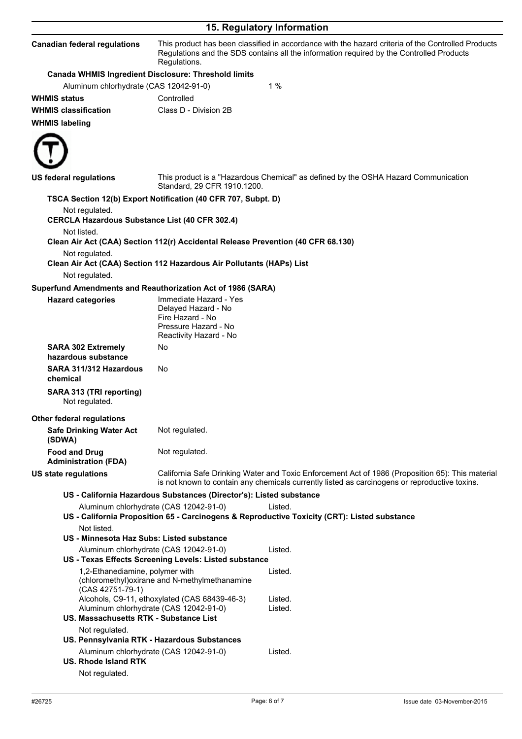| 15. Regulatory Information                                                              |                                                                                                                     |                                                                                                                                                                                                   |  |
|-----------------------------------------------------------------------------------------|---------------------------------------------------------------------------------------------------------------------|---------------------------------------------------------------------------------------------------------------------------------------------------------------------------------------------------|--|
| <b>Canadian federal regulations</b>                                                     | Regulations.                                                                                                        | This product has been classified in accordance with the hazard criteria of the Controlled Products<br>Regulations and the SDS contains all the information required by the Controlled Products    |  |
| Canada WHMIS Ingredient Disclosure: Threshold limits                                    |                                                                                                                     |                                                                                                                                                                                                   |  |
| Aluminum chlorhydrate (CAS 12042-91-0)                                                  |                                                                                                                     | 1%                                                                                                                                                                                                |  |
| <b>WHMIS status</b>                                                                     | Controlled                                                                                                          |                                                                                                                                                                                                   |  |
| <b>WHMIS classification</b>                                                             | Class D - Division 2B                                                                                               |                                                                                                                                                                                                   |  |
| <b>WHMIS labeling</b>                                                                   |                                                                                                                     |                                                                                                                                                                                                   |  |
| <b>US federal regulations</b>                                                           | Standard, 29 CFR 1910.1200.                                                                                         | This product is a "Hazardous Chemical" as defined by the OSHA Hazard Communication                                                                                                                |  |
|                                                                                         | TSCA Section 12(b) Export Notification (40 CFR 707, Subpt. D)                                                       |                                                                                                                                                                                                   |  |
| Not regulated.<br><b>CERCLA Hazardous Substance List (40 CFR 302.4)</b><br>Not listed.  |                                                                                                                     |                                                                                                                                                                                                   |  |
|                                                                                         | Clean Air Act (CAA) Section 112(r) Accidental Release Prevention (40 CFR 68.130)                                    |                                                                                                                                                                                                   |  |
| Not regulated.<br>Not regulated.                                                        | Clean Air Act (CAA) Section 112 Hazardous Air Pollutants (HAPs) List                                                |                                                                                                                                                                                                   |  |
| Superfund Amendments and Reauthorization Act of 1986 (SARA)                             |                                                                                                                     |                                                                                                                                                                                                   |  |
| <b>Hazard categories</b>                                                                | Immediate Hazard - Yes<br>Delayed Hazard - No<br>Fire Hazard - No<br>Pressure Hazard - No<br>Reactivity Hazard - No |                                                                                                                                                                                                   |  |
| <b>SARA 302 Extremely</b><br>hazardous substance                                        | No                                                                                                                  |                                                                                                                                                                                                   |  |
| SARA 311/312 Hazardous<br>chemical                                                      | No.                                                                                                                 |                                                                                                                                                                                                   |  |
| SARA 313 (TRI reporting)<br>Not regulated.                                              |                                                                                                                     |                                                                                                                                                                                                   |  |
| <b>Other federal regulations</b>                                                        |                                                                                                                     |                                                                                                                                                                                                   |  |
| <b>Safe Drinking Water Act</b><br>(SDWA)                                                | Not regulated.                                                                                                      |                                                                                                                                                                                                   |  |
| <b>Food and Drug</b><br><b>Administration (FDA)</b>                                     | Not regulated.                                                                                                      |                                                                                                                                                                                                   |  |
| <b>US state regulations</b>                                                             |                                                                                                                     | California Safe Drinking Water and Toxic Enforcement Act of 1986 (Proposition 65): This material<br>is not known to contain any chemicals currently listed as carcinogens or reproductive toxins. |  |
|                                                                                         | US - California Hazardous Substances (Director's): Listed substance                                                 |                                                                                                                                                                                                   |  |
| Aluminum chlorhydrate (CAS 12042-91-0)                                                  |                                                                                                                     | Listed.<br>US - California Proposition 65 - Carcinogens & Reproductive Toxicity (CRT): Listed substance                                                                                           |  |
| Not listed.<br>US - Minnesota Haz Subs: Listed substance                                |                                                                                                                     |                                                                                                                                                                                                   |  |
| Aluminum chlorhydrate (CAS 12042-91-0)                                                  | US - Texas Effects Screening Levels: Listed substance                                                               | Listed.                                                                                                                                                                                           |  |
| 1,2-Ethanediamine, polymer with<br>(CAS 42751-79-1)                                     | (chloromethyl) oxirane and N-methylmethanamine<br>Alcohols, C9-11, ethoxylated (CAS 68439-46-3)                     | Listed.<br>Listed.<br>Listed.                                                                                                                                                                     |  |
| Aluminum chlorhydrate (CAS 12042-91-0)<br>US. Massachusetts RTK - Substance List        |                                                                                                                     |                                                                                                                                                                                                   |  |
| Not regulated.<br>US. Pennsylvania RTK - Hazardous Substances                           |                                                                                                                     |                                                                                                                                                                                                   |  |
| Aluminum chlorhydrate (CAS 12042-91-0)<br><b>US. Rhode Island RTK</b><br>Not regulated. |                                                                                                                     | Listed.                                                                                                                                                                                           |  |